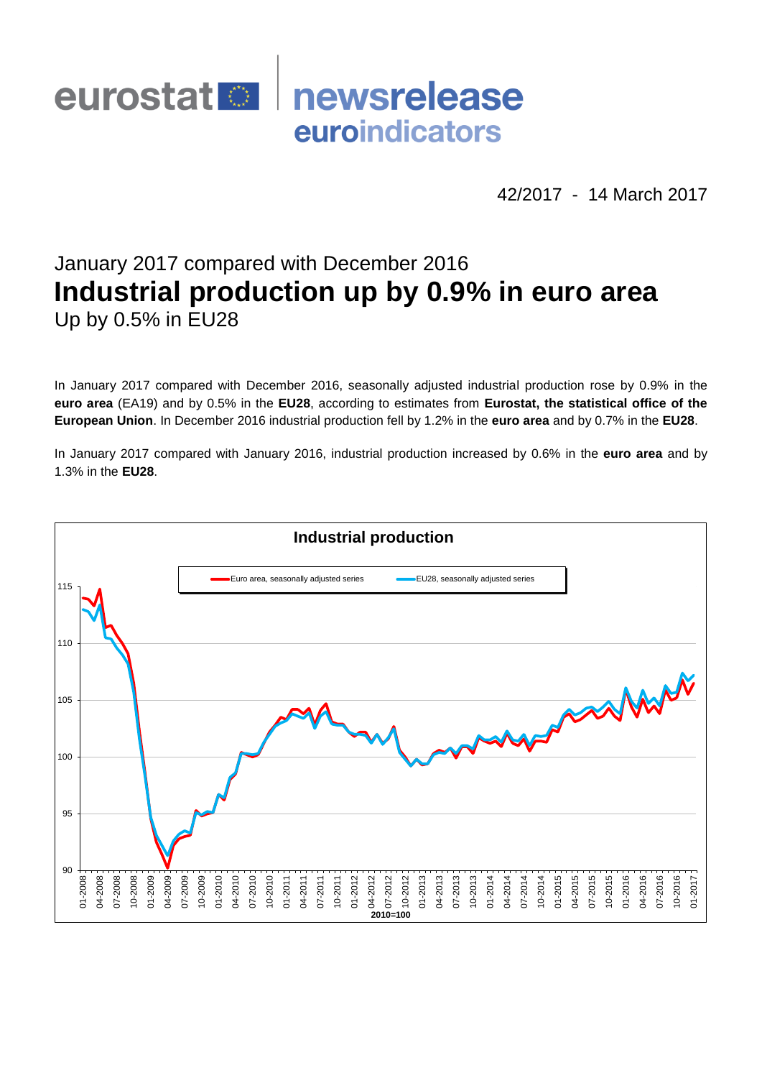## eurostat<sup>1</sup> newsrelease euroindicators

42/2017 - 14 March 2017

# January 2017 compared with December 2016 **Industrial production up by 0.9% in euro area** Up by 0.5% in EU28

In January 2017 compared with December 2016, seasonally adjusted industrial production rose by 0.9% in the **euro area** (EA19) and by 0.5% in the **EU28**, according to estimates from **Eurostat, the statistical office of the European Union**. In December 2016 industrial production fell by 1.2% in the **euro area** and by 0.7% in the **EU28**.

In January 2017 compared with January 2016, industrial production increased by 0.6% in the **euro area** and by 1.3% in the **EU28**.

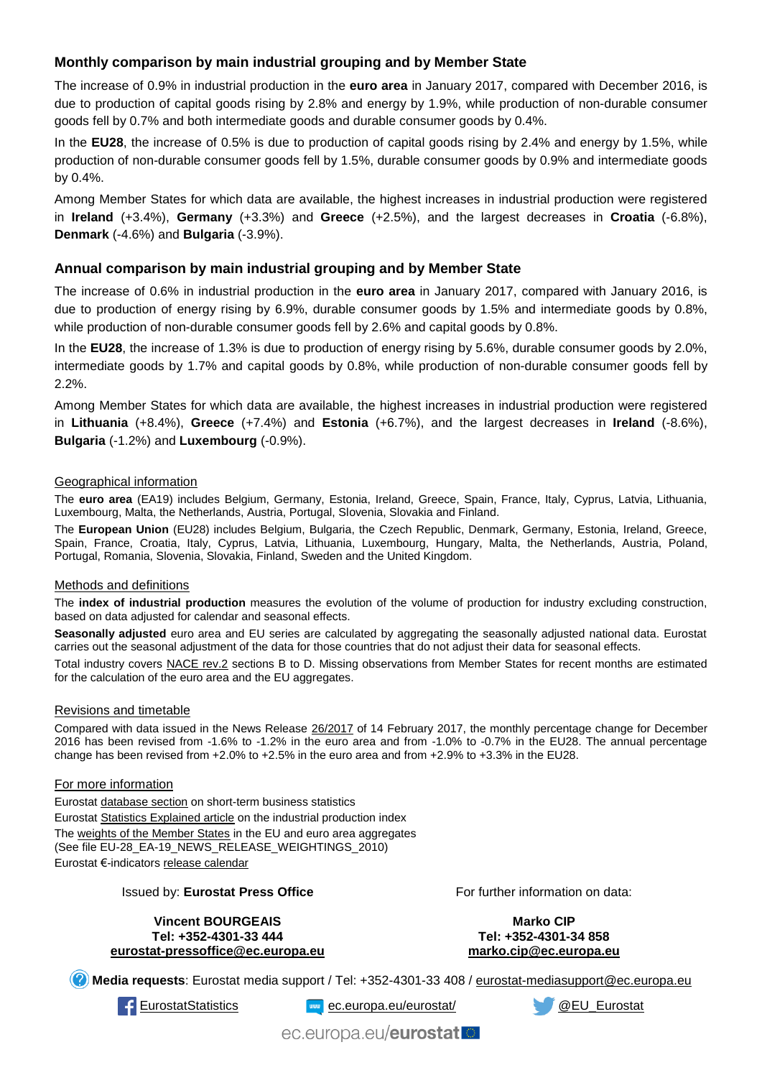## **Monthly comparison by main industrial grouping and by Member State**

The increase of 0.9% in industrial production in the **euro area** in January 2017, compared with December 2016, is due to production of capital goods rising by 2.8% and energy by 1.9%, while production of non-durable consumer goods fell by 0.7% and both intermediate goods and durable consumer goods by 0.4%.

In the **EU28**, the increase of 0.5% is due to production of capital goods rising by 2.4% and energy by 1.5%, while production of non-durable consumer goods fell by 1.5%, durable consumer goods by 0.9% and intermediate goods by 0.4%.

Among Member States for which data are available, the highest increases in industrial production were registered in **Ireland** (+3.4%), **Germany** (+3.3%) and **Greece** (+2.5%), and the largest decreases in **Croatia** (-6.8%), **Denmark** (-4.6%) and **Bulgaria** (-3.9%).

## **Annual comparison by main industrial grouping and by Member State**

The increase of 0.6% in industrial production in the **euro area** in January 2017, compared with January 2016, is due to production of energy rising by 6.9%, durable consumer goods by 1.5% and intermediate goods by 0.8%, while production of non-durable consumer goods fell by 2.6% and capital goods by 0.8%.

In the **EU28**, the increase of 1.3% is due to production of energy rising by 5.6%, durable consumer goods by 2.0%, intermediate goods by 1.7% and capital goods by 0.8%, while production of non-durable consumer goods fell by 2.2%.

Among Member States for which data are available, the highest increases in industrial production were registered in **Lithuania** (+8.4%), **Greece** (+7.4%) and **Estonia** (+6.7%), and the largest decreases in **Ireland** (-8.6%), **Bulgaria** (-1.2%) and **Luxembourg** (-0.9%).

#### Geographical information

The **euro area** (EA19) includes Belgium, Germany, Estonia, Ireland, Greece, Spain, France, Italy, Cyprus, Latvia, Lithuania, Luxembourg, Malta, the Netherlands, Austria, Portugal, Slovenia, Slovakia and Finland.

The **European Union** (EU28) includes Belgium, Bulgaria, the Czech Republic, Denmark, Germany, Estonia, Ireland, Greece, Spain, France, Croatia, Italy, Cyprus, Latvia, Lithuania, Luxembourg, Hungary, Malta, the Netherlands, Austria, Poland, Portugal, Romania, Slovenia, Slovakia, Finland, Sweden and the United Kingdom.

#### Methods and definitions

The **index of industrial production** measures the evolution of the volume of production for industry excluding construction, based on data adjusted for calendar and seasonal effects.

**Seasonally adjusted** euro area and EU series are calculated by aggregating the seasonally adjusted national data. Eurostat carries out the seasonal adjustment of the data for those countries that do not adjust their data for seasonal effects.

Total industry covers [NACE rev.2](http://ec.europa.eu/eurostat/ramon/nomenclatures/index.cfm?TargetUrl=LST_NOM_DTL&StrNom=NACE_REV2&StrLanguageCode=EN&IntPcKey=&StrLayoutCode=HIERARCHIC) sections B to D. Missing observations from Member States for recent months are estimated for the calculation of the euro area and the EU aggregates.

#### Revisions and timetable

Compared with data issued in the News Release [26/2017](http://ec.europa.eu/eurostat/documents/2995521/7868318/4-14022017-AP-EN.pdf/d735ee06-3a57-4078-9e2d-e54237b2e374) of 14 February 2017, the monthly percentage change for December 2016 has been revised from -1.6% to -1.2% in the euro area and from -1.0% to -0.7% in the EU28. The annual percentage change has been revised from +2.0% to +2.5% in the euro area and from +2.9% to +3.3% in the EU28.

#### For more information

Eurosta[t database section](http://ec.europa.eu/eurostat/web/short-term-business-statistics/data/database) on short-term business statistics Eurosta[t Statistics Explained article](http://ec.europa.eu/eurostat/statistics-explained/index.php/Industrial_production_(volume)_index_overview) on the industrial production index Th[e weights of the Member States](https://circabc.europa.eu/w/browse/5e6d1e48-056c-4c6a-8278-3ab138bcf575) in the EU and euro area aggregates (See file EU-28\_EA-19\_NEWS\_RELEASE\_WEIGHTINGS\_2010) Eurostat €-indicator[s release calendar](http://ec.europa.eu/eurostat/news/release-calendar)

#### Issued by: **Eurostat Press Office**

For further information on data:

**Vincent BOURGEAIS Tel: +352-4301-33 444 [eurostat-pressoffice@ec.europa.eu](mailto:eurostat-pressoffice@ec.europa.eu)**

**Marko CIP Tel: +352-4301-34 858 [marko.cip@ec.europa.eu](mailto:marko.cip@ec.europa.eu)**

**Media requests**: Eurostat media support / Tel: +352-4301-33 408 / [eurostat-mediasupport@ec.europa.eu](mailto:eurostat-mediasupport@ec.europa.eu)

[EurostatStatistics](http://www.facebook.com/EurostatStatistics) [ec.europa.eu/eurostat/](http://ec.europa.eu/eurostat/) [@EU\\_Eurostat](http://twitter.com/EU_Eurostat)

ec.europa.eu/eurostatlo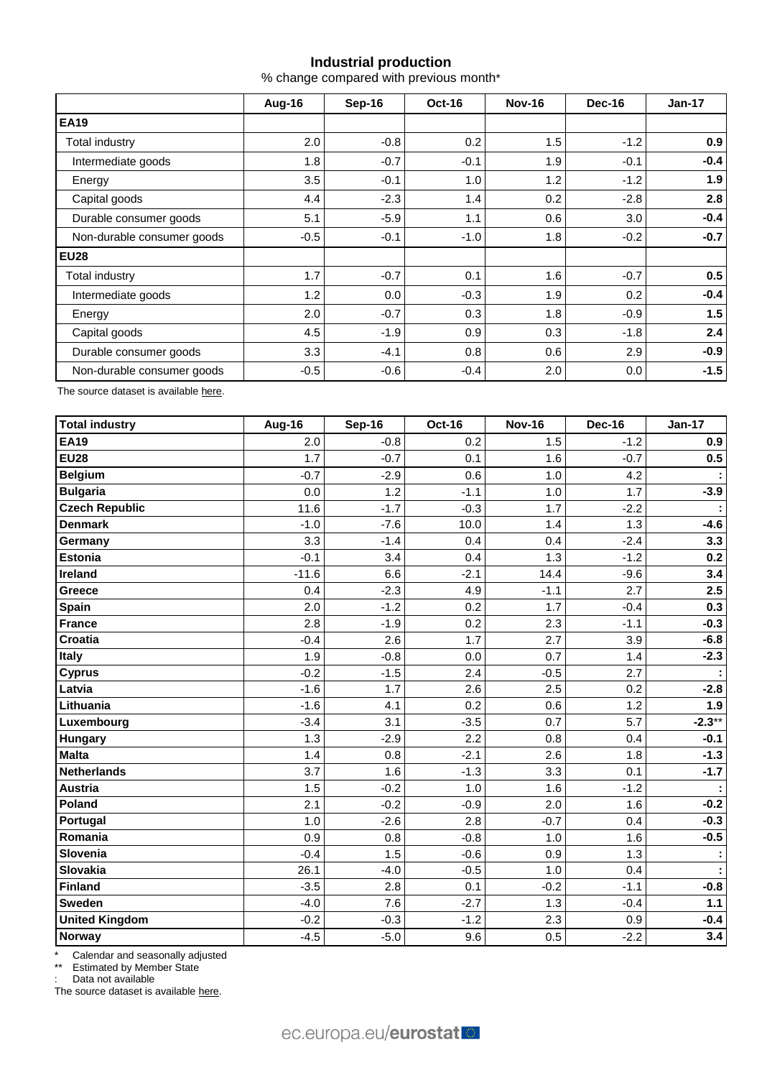## **Industrial production**

% change compared with previous month\*

|                            | Aug-16 | Sep-16 | Oct-16 | <b>Nov-16</b> | <b>Dec-16</b> | $Jan-17$ |
|----------------------------|--------|--------|--------|---------------|---------------|----------|
| <b>EA19</b>                |        |        |        |               |               |          |
| Total industry             | 2.0    | $-0.8$ | 0.2    | 1.5           | $-1.2$        | 0.9      |
| Intermediate goods         | 1.8    | $-0.7$ | $-0.1$ | 1.9           | $-0.1$        | $-0.4$   |
| Energy                     | 3.5    | $-0.1$ | 1.0    | 1.2           | $-1.2$        | 1.9      |
| Capital goods              | 4.4    | $-2.3$ | 1.4    | 0.2           | -2.8          | 2.8      |
| Durable consumer goods     | 5.1    | $-5.9$ | 1.1    | 0.6           | 3.0           | $-0.4$   |
| Non-durable consumer goods | $-0.5$ | $-0.1$ | $-1.0$ | 1.8           | $-0.2$        | $-0.7$   |
| <b>EU28</b>                |        |        |        |               |               |          |
| Total industry             | 1.7    | $-0.7$ | 0.1    | 1.6           | $-0.7$        | 0.5      |
| Intermediate goods         | 1.2    | 0.0    | $-0.3$ | 1.9           | 0.2           | $-0.4$   |
| Energy                     | 2.0    | $-0.7$ | 0.3    | 1.8           | $-0.9$        | 1.5      |
| Capital goods              | 4.5    | $-1.9$ | 0.9    | 0.3           | $-1.8$        | 2.4      |
| Durable consumer goods     | 3.3    | $-4.1$ | 0.8    | 0.6           | 2.9           | $-0.9$   |
| Non-durable consumer goods | $-0.5$ | $-0.6$ | $-0.4$ | 2.0           | 0.0           | $-1.5$   |

The source dataset is availabl[e here.](http://appsso.eurostat.ec.europa.eu/nui/show.do?query=BOOKMARK_DS-069583_QID_-53045BCF_UID_-3F171EB0&layout=TIME,C,X,0;GEO,L,Y,0;NACE_R2,L,Y,1;INDIC_BT,L,Z,0;S_ADJ,L,Z,1;UNIT,L,Z,2;INDICATORS,C,Z,3;&zSelection=DS-069583UNIT,PCH_PRE;DS-069583S_ADJ,SCA;DS-069583INDIC_BT,PROD;DS-069583INDICATORS,OBS_FLAG;&rankName1=UNIT_1_2_-1_2&rankName2=INDIC-BT_1_2_-1_2&rankName3=INDICATORS_1_2_-1_2&rankName4=S-ADJ_1_2_-1_2&rankName5=TIME_1_0_0_0&rankName6=GEO_1_0_0_1&rankName7=NACE-R2_1_2_1_1&sortR=ASC_-1_FIRST&sortC=ASC_-1_FIRST&rStp=&cStp=&rDCh=&cDCh=&rDM=true&cDM=true&footnes=false&empty=false&wai=false&time_mode=ROLLING&time_most_recent=true&lang=EN&cfo=%23%23%23%2C%23%23%23.%23%23%23)

| <b>Total industry</b> | Aug-16  | Sep-16 | <b>Oct-16</b> | <b>Nov-16</b> | <b>Dec-16</b> | <b>Jan-17</b> |
|-----------------------|---------|--------|---------------|---------------|---------------|---------------|
| <b>EA19</b>           | 2.0     | $-0.8$ | 0.2           | 1.5           | $-1.2$        | 0.9           |
| <b>EU28</b>           | 1.7     | $-0.7$ | 0.1           | 1.6           | $-0.7$        | 0.5           |
| <b>Belgium</b>        | $-0.7$  | $-2.9$ | 0.6           | 1.0           | 4.2           |               |
| <b>Bulgaria</b>       | 0.0     | 1.2    | $-1.1$        | 1.0           | 1.7           | $-3.9$        |
| <b>Czech Republic</b> | 11.6    | $-1.7$ | $-0.3$        | 1.7           | $-2.2$        |               |
| <b>Denmark</b>        | $-1.0$  | $-7.6$ | 10.0          | 1.4           | 1.3           | $-4.6$        |
| Germany               | 3.3     | $-1.4$ | 0.4           | 0.4           | $-2.4$        | 3.3           |
| <b>Estonia</b>        | $-0.1$  | 3.4    | 0.4           | 1.3           | $-1.2$        | 0.2           |
| Ireland               | $-11.6$ | 6.6    | $-2.1$        | 14.4          | $-9.6$        | 3.4           |
| <b>Greece</b>         | 0.4     | $-2.3$ | 4.9           | $-1.1$        | 2.7           | 2.5           |
| <b>Spain</b>          | 2.0     | $-1.2$ | 0.2           | 1.7           | $-0.4$        | 0.3           |
| France                | 2.8     | $-1.9$ | 0.2           | 2.3           | $-1.1$        | $-0.3$        |
| <b>Croatia</b>        | $-0.4$  | 2.6    | 1.7           | 2.7           | 3.9           | $-6.8$        |
| <b>Italy</b>          | 1.9     | $-0.8$ | 0.0           | 0.7           | 1.4           | $-2.3$        |
| <b>Cyprus</b>         | $-0.2$  | $-1.5$ | 2.4           | $-0.5$        | 2.7           |               |
| Latvia                | $-1.6$  | 1.7    | 2.6           | 2.5           | 0.2           | $-2.8$        |
| Lithuania             | $-1.6$  | 4.1    | 0.2           | 0.6           | 1.2           | 1.9           |
| Luxembourg            | $-3.4$  | 3.1    | $-3.5$        | 0.7           | 5.7           | $-2.3**$      |
| <b>Hungary</b>        | 1.3     | $-2.9$ | 2.2           | 0.8           | 0.4           | $-0.1$        |
| <b>Malta</b>          | 1.4     | 0.8    | $-2.1$        | 2.6           | 1.8           | $-1.3$        |
| Netherlands           | 3.7     | 1.6    | $-1.3$        | 3.3           | 0.1           | $-1.7$        |
| <b>Austria</b>        | 1.5     | $-0.2$ | 1.0           | 1.6           | $-1.2$        | ÷             |
| Poland                | 2.1     | $-0.2$ | $-0.9$        | 2.0           | 1.6           | $-0.2$        |
| Portugal              | 1.0     | $-2.6$ | 2.8           | $-0.7$        | 0.4           | $-0.3$        |
| Romania               | 0.9     | 0.8    | $-0.8$        | 1.0           | 1.6           | $-0.5$        |
| Slovenia              | $-0.4$  | 1.5    | $-0.6$        | 0.9           | 1.3           | ÷.            |
| Slovakia              | 26.1    | $-4.0$ | $-0.5$        | 1.0           | 0.4           |               |
| Finland               | $-3.5$  | 2.8    | 0.1           | $-0.2$        | $-1.1$        | $-0.8$        |
| <b>Sweden</b>         | $-4.0$  | 7.6    | $-2.7$        | 1.3           | $-0.4$        | $1.1$         |
| <b>United Kingdom</b> | $-0.2$  | $-0.3$ | $-1.2$        | 2.3           | 0.9           | $-0.4$        |
| Norway                | $-4.5$  | $-5.0$ | 9.6           | 0.5           | $-2.2$        | 3.4           |

\* Calendar and seasonally adjusted

\*\* Estimated by Member State

: Data not available

The source dataset is available [here.](http://appsso.eurostat.ec.europa.eu/nui/show.do?query=BOOKMARK_DS-069583_QID_-3986CD57_UID_-3F171EB0&layout=TIME,C,X,0;GEO,L,Y,0;INDIC_BT,L,Z,0;S_ADJ,L,Z,1;UNIT,L,Z,2;NACE_R2,L,Z,3;INDICATORS,C,Z,4;&zSelection=DS-069583UNIT,PCH_PRE;DS-069583S_ADJ,SCA;DS-069583INDIC_BT,PROD;DS-069583INDICATORS,OBS_FLAG;DS-069583NACE_R2,B-D;&rankName1=UNIT_1_2_-1_2&rankName2=INDIC-BT_1_2_-1_2&rankName3=INDICATORS_1_2_-1_2&rankName4=S-ADJ_1_2_-1_2&rankName5=NACE-R2_1_2_-1_2&rankName6=TIME_1_0_0_0&rankName7=GEO_1_2_0_1&sortC=ASC_-1_FIRST&rStp=&cStp=&rDCh=&cDCh=&rDM=true&cDM=true&footnes=false&empty=false&wai=false&time_mode=ROLLING&time_most_recent=true&lang=EN&cfo=%23%23%23%2C%23%23%23.%23%23%23)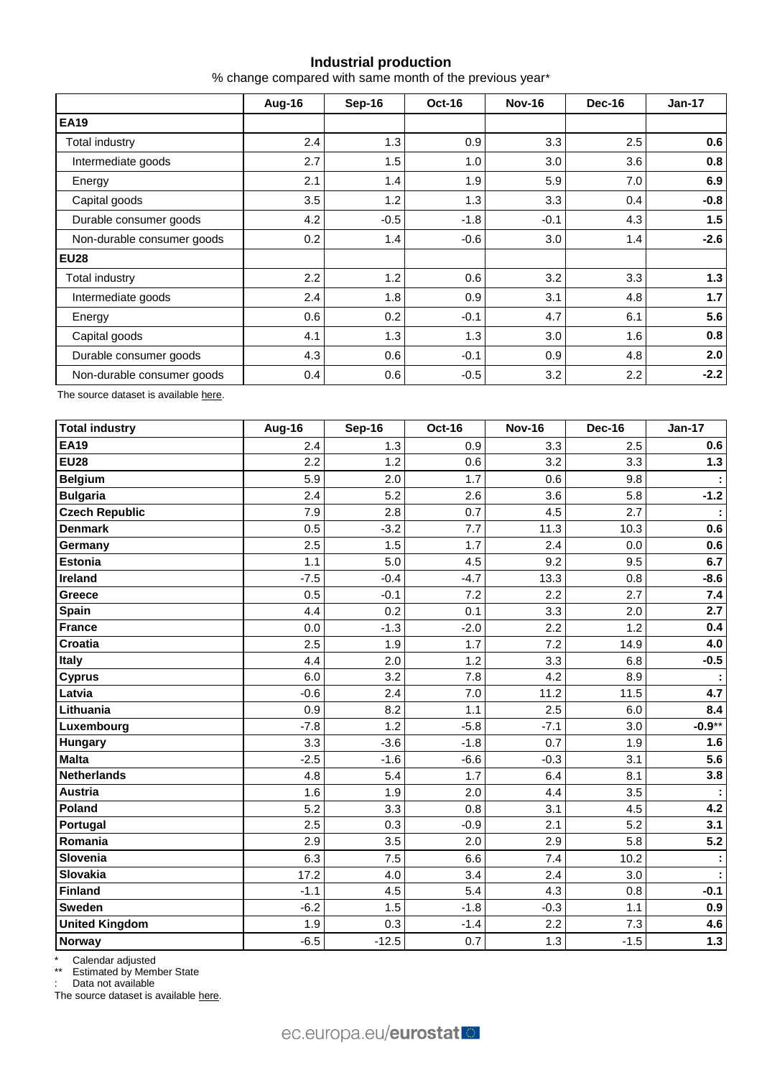## **Industrial production**

% change compared with same month of the previous year\*

|                            | Aug-16 | Sep-16 | Oct-16 | <b>Nov-16</b> | <b>Dec-16</b>    | $Jan-17$ |
|----------------------------|--------|--------|--------|---------------|------------------|----------|
| <b>EA19</b>                |        |        |        |               |                  |          |
| <b>Total industry</b>      | 2.4    | 1.3    | 0.9    | 3.3           | 2.5              | 0.6      |
| Intermediate goods         | 2.7    | 1.5    | 1.0    | 3.0           | 3.6              | 0.8      |
| Energy                     | 2.1    | 1.4    | 1.9    | 5.9           | 7.0              | 6.9      |
| Capital goods              | 3.5    | 1.2    | 1.3    | 3.3           | 0.4              | $-0.8$   |
| Durable consumer goods     | 4.2    | $-0.5$ | $-1.8$ | $-0.1$        | 4.3              | 1.5      |
| Non-durable consumer goods | 0.2    | 1.4    | $-0.6$ | 3.0           | 1.4              | $-2.6$   |
| <b>EU28</b>                |        |        |        |               |                  |          |
| Total industry             | 2.2    | 1.2    | 0.6    | 3.2           | 3.3 <sub>2</sub> | 1.3      |
| Intermediate goods         | 2.4    | 1.8    | 0.9    | 3.1           | 4.8              | 1.7      |
| Energy                     | 0.6    | 0.2    | $-0.1$ | 4.7           | 6.1              | 5.6      |
| Capital goods              | 4.1    | 1.3    | 1.3    | 3.0           | 1.6              | 0.8      |
| Durable consumer goods     | 4.3    | 0.6    | $-0.1$ | 0.9           | 4.8              | 2.0      |
| Non-durable consumer goods | 0.4    | 0.6    | $-0.5$ | 3.2           | 2.2              | $-2.2$   |

The source dataset is availabl[e here.](http://appsso.eurostat.ec.europa.eu/nui/show.do?query=BOOKMARK_DS-069583_QID_-628F3FF0_UID_-3F171EB0&layout=TIME,C,X,0;GEO,L,Y,0;NACE_R2,L,Y,1;INDIC_BT,L,Z,0;S_ADJ,L,Z,1;UNIT,L,Z,2;INDICATORS,C,Z,3;&zSelection=DS-069583UNIT,PCH_PRE;DS-069583S_ADJ,SCA;DS-069583INDIC_BT,PROD;DS-069583INDICATORS,OBS_FLAG;&rankName1=UNIT_1_2_-1_2&rankName2=INDIC-BT_1_2_-1_2&rankName3=INDICATORS_1_2_-1_2&rankName4=S-ADJ_1_2_-1_2&rankName5=TIME_1_0_0_0&rankName6=GEO_1_0_0_1&rankName7=NACE-R2_1_2_1_1&sortR=ASC_-1_FIRST&sortC=ASC_-1_FIRST&rStp=&cStp=&rDCh=&cDCh=&rDM=true&cDM=true&footnes=false&empty=false&wai=false&time_mode=ROLLING&time_most_recent=true&lang=EN&cfo=%23%23%23%2C%23%23%23.%23%23%23)

| <b>Total industry</b> | Aug-16 | <b>Sep-16</b> | Oct-16 | <b>Nov-16</b> | <b>Dec-16</b> | <b>Jan-17</b>    |
|-----------------------|--------|---------------|--------|---------------|---------------|------------------|
| <b>EA19</b>           | 2.4    | 1.3           | 0.9    | 3.3           | 2.5           | 0.6              |
| <b>EU28</b>           | 2.2    | 1.2           | 0.6    | 3.2           | 3.3           | $1.3$            |
| <b>Belgium</b>        | 5.9    | 2.0           | 1.7    | 0.6           | 9.8           |                  |
| <b>Bulgaria</b>       | 2.4    | 5.2           | 2.6    | 3.6           | 5.8           | $-1.2$           |
| <b>Czech Republic</b> | 7.9    | 2.8           | 0.7    | 4.5           | 2.7           |                  |
| <b>Denmark</b>        | 0.5    | $-3.2$        | 7.7    | 11.3          | 10.3          | 0.6              |
| Germany               | 2.5    | 1.5           | 1.7    | 2.4           | 0.0           | 0.6              |
| <b>Estonia</b>        | 1.1    | 5.0           | 4.5    | 9.2           | 9.5           | 6.7              |
| <b>Ireland</b>        | $-7.5$ | $-0.4$        | $-4.7$ | 13.3          | 0.8           | $-8.6$           |
| Greece                | 0.5    | $-0.1$        | 7.2    | 2.2           | 2.7           | 7.4              |
| Spain                 | 4.4    | 0.2           | 0.1    | 3.3           | 2.0           | 2.7              |
| <b>France</b>         | 0.0    | $-1.3$        | $-2.0$ | 2.2           | 1.2           | 0.4              |
| <b>Croatia</b>        | 2.5    | 1.9           | 1.7    | 7.2           | 14.9          | 4.0              |
| <b>Italy</b>          | 4.4    | 2.0           | 1.2    | 3.3           | 6.8           | $-0.5$           |
| <b>Cyprus</b>         | 6.0    | 3.2           | 7.8    | 4.2           | 8.9           |                  |
| Latvia                | $-0.6$ | 2.4           | 7.0    | 11.2          | 11.5          | 4.7              |
| Lithuania             | 0.9    | 8.2           | 1.1    | 2.5           | 6.0           | 8.4              |
| Luxembourg            | $-7.8$ | 1.2           | $-5.8$ | $-7.1$        | 3.0           | $-0.9**$         |
| Hungary               | 3.3    | $-3.6$        | $-1.8$ | 0.7           | 1.9           | 1.6              |
| <b>Malta</b>          | $-2.5$ | $-1.6$        | $-6.6$ | $-0.3$        | 3.1           | 5.6              |
| <b>Netherlands</b>    | 4.8    | 5.4           | 1.7    | 6.4           | 8.1           | 3.8              |
| <b>Austria</b>        | 1.6    | 1.9           | 2.0    | 4.4           | 3.5           |                  |
| Poland                | 5.2    | 3.3           | 0.8    | 3.1           | 4.5           | 4.2              |
| Portugal              | 2.5    | 0.3           | $-0.9$ | 2.1           | 5.2           | 3.1              |
| Romania               | 2.9    | 3.5           | 2.0    | 2.9           | 5.8           | $\overline{5.2}$ |
| Slovenia              | 6.3    | 7.5           | 6.6    | 7.4           | 10.2          | ÷                |
| <b>Slovakia</b>       | 17.2   | 4.0           | 3.4    | 2.4           | 3.0           |                  |
| <b>Finland</b>        | $-1.1$ | 4.5           | 5.4    | 4.3           | 0.8           | $-0.1$           |
| <b>Sweden</b>         | $-6.2$ | 1.5           | $-1.8$ | $-0.3$        | 1.1           | 0.9              |
| <b>United Kingdom</b> | 1.9    | 0.3           | $-1.4$ | 2.2           | 7.3           | 4.6              |
| Norway                | $-6.5$ | $-12.5$       | 0.7    | 1.3           | $-1.5$        | $1.3$            |

\* Calendar adjusted

\*\* Estimated by Member State

: Data not available

The source dataset is available [here.](http://appsso.eurostat.ec.europa.eu/nui/show.do?query=BOOKMARK_DS-069583_QID_690FAA53_UID_-3F171EB0&layout=TIME,C,X,0;GEO,L,Y,0;NACE_R2,L,Y,1;INDIC_BT,L,Z,0;S_ADJ,L,Z,1;UNIT,L,Z,2;INDICATORS,C,Z,3;&zSelection=DS-069583UNIT,PCH_SM;DS-069583S_ADJ,CA;DS-069583INDIC_BT,PROD;DS-069583INDICATORS,OBS_FLAG;&rankName1=UNIT_1_2_-1_2&rankName2=INDIC-BT_1_2_-1_2&rankName3=INDICATORS_1_2_-1_2&rankName4=S-ADJ_1_2_-1_2&rankName5=TIME_1_0_0_0&rankName6=GEO_1_2_0_1&rankName7=NACE-R2_1_2_1_1&sortC=ASC_-1_FIRST&rStp=&cStp=&rDCh=&cDCh=&rDM=true&cDM=true&footnes=false&empty=false&wai=false&time_mode=ROLLING&time_most_recent=true&lang=EN&cfo=%23%23%23%2C%23%23%23.%23%23%23)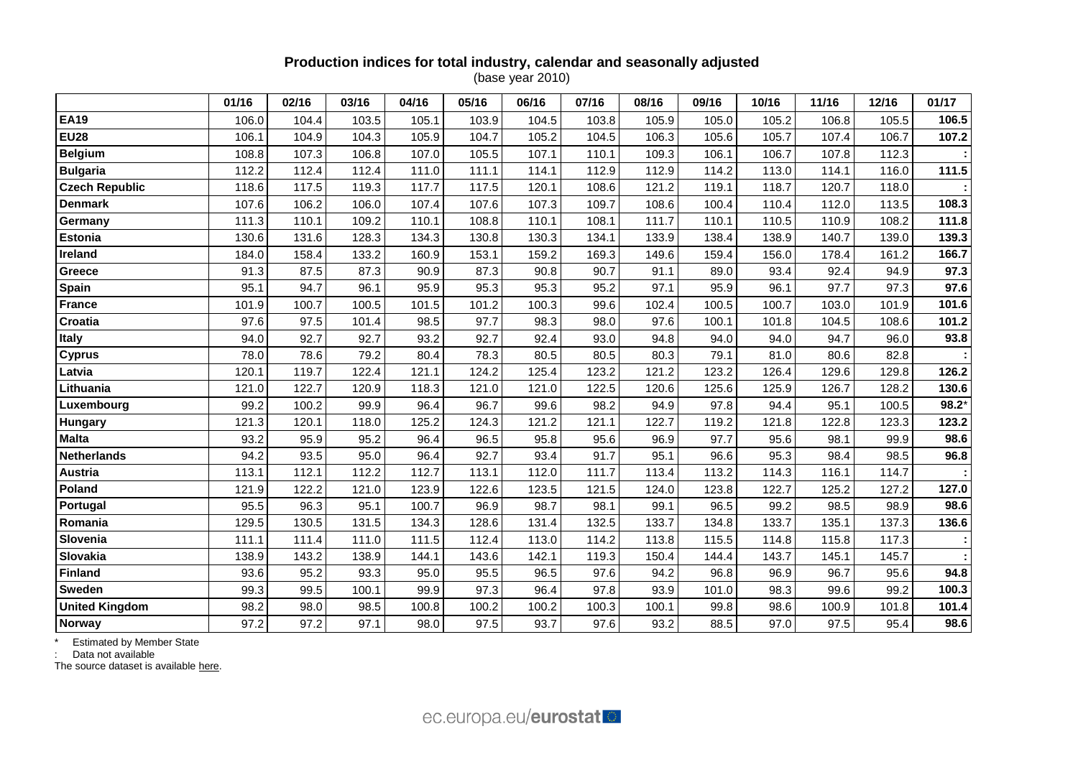### **Production indices for total industry, calendar and seasonally adjusted** (base year 2010)

|                       | 01/16 | 02/16 | 03/16 | 04/16 | 05/16 | 06/16 | 07/16 | 08/16 | 09/16 | 10/16 | 11/16 | 12/16 | 01/17   |
|-----------------------|-------|-------|-------|-------|-------|-------|-------|-------|-------|-------|-------|-------|---------|
| <b>EA19</b>           | 106.0 | 104.4 | 103.5 | 105.1 | 103.9 | 104.5 | 103.8 | 105.9 | 105.0 | 105.2 | 106.8 | 105.5 | 106.5   |
| <b>EU28</b>           | 106.1 | 104.9 | 104.3 | 105.9 | 104.7 | 105.2 | 104.5 | 106.3 | 105.6 | 105.7 | 107.4 | 106.7 | 107.2   |
| <b>Belgium</b>        | 108.8 | 107.3 | 106.8 | 107.0 | 105.5 | 107.1 | 110.1 | 109.3 | 106.1 | 106.7 | 107.8 | 112.3 |         |
| <b>Bulgaria</b>       | 112.2 | 112.4 | 112.4 | 111.0 | 111.1 | 114.1 | 112.9 | 112.9 | 114.2 | 113.0 | 114.1 | 116.0 | 111.5   |
| <b>Czech Republic</b> | 118.6 | 117.5 | 119.3 | 117.7 | 117.5 | 120.1 | 108.6 | 121.2 | 119.1 | 118.7 | 120.7 | 118.0 |         |
| <b>Denmark</b>        | 107.6 | 106.2 | 106.0 | 107.4 | 107.6 | 107.3 | 109.7 | 108.6 | 100.4 | 110.4 | 112.0 | 113.5 | 108.3   |
| Germany               | 111.3 | 110.1 | 109.2 | 110.1 | 108.8 | 110.1 | 108.1 | 111.7 | 110.1 | 110.5 | 110.9 | 108.2 | 111.8   |
| Estonia               | 130.6 | 131.6 | 128.3 | 134.3 | 130.8 | 130.3 | 134.1 | 133.9 | 138.4 | 138.9 | 140.7 | 139.0 | 139.3   |
| Ireland               | 184.0 | 158.4 | 133.2 | 160.9 | 153.1 | 159.2 | 169.3 | 149.6 | 159.4 | 156.0 | 178.4 | 161.2 | 166.7   |
| Greece                | 91.3  | 87.5  | 87.3  | 90.9  | 87.3  | 90.8  | 90.7  | 91.1  | 89.0  | 93.4  | 92.4  | 94.9  | 97.3    |
| Spain                 | 95.1  | 94.7  | 96.1  | 95.9  | 95.3  | 95.3  | 95.2  | 97.1  | 95.9  | 96.1  | 97.7  | 97.3  | 97.6    |
| <b>France</b>         | 101.9 | 100.7 | 100.5 | 101.5 | 101.2 | 100.3 | 99.6  | 102.4 | 100.5 | 100.7 | 103.0 | 101.9 | 101.6   |
| Croatia               | 97.6  | 97.5  | 101.4 | 98.5  | 97.7  | 98.3  | 98.0  | 97.6  | 100.1 | 101.8 | 104.5 | 108.6 | 101.2   |
| <b>Italy</b>          | 94.0  | 92.7  | 92.7  | 93.2  | 92.7  | 92.4  | 93.0  | 94.8  | 94.0  | 94.0  | 94.7  | 96.0  | 93.8    |
| <b>Cyprus</b>         | 78.0  | 78.6  | 79.2  | 80.4  | 78.3  | 80.5  | 80.5  | 80.3  | 79.1  | 81.0  | 80.6  | 82.8  |         |
| Latvia                | 120.1 | 119.7 | 122.4 | 121.1 | 124.2 | 125.4 | 123.2 | 121.2 | 123.2 | 126.4 | 129.6 | 129.8 | 126.2   |
| Lithuania             | 121.0 | 122.7 | 120.9 | 118.3 | 121.0 | 121.0 | 122.5 | 120.6 | 125.6 | 125.9 | 126.7 | 128.2 | 130.6   |
| Luxembourg            | 99.2  | 100.2 | 99.9  | 96.4  | 96.7  | 99.6  | 98.2  | 94.9  | 97.8  | 94.4  | 95.1  | 100.5 | $98.2*$ |
| Hungary               | 121.3 | 120.1 | 118.0 | 125.2 | 124.3 | 121.2 | 121.1 | 122.7 | 119.2 | 121.8 | 122.8 | 123.3 | 123.2   |
| <b>Malta</b>          | 93.2  | 95.9  | 95.2  | 96.4  | 96.5  | 95.8  | 95.6  | 96.9  | 97.7  | 95.6  | 98.1  | 99.9  | 98.6    |
| <b>Netherlands</b>    | 94.2  | 93.5  | 95.0  | 96.4  | 92.7  | 93.4  | 91.7  | 95.1  | 96.6  | 95.3  | 98.4  | 98.5  | 96.8    |
| <b>Austria</b>        | 113.1 | 112.1 | 112.2 | 112.7 | 113.1 | 112.0 | 111.7 | 113.4 | 113.2 | 114.3 | 116.1 | 114.7 |         |
| Poland                | 121.9 | 122.2 | 121.0 | 123.9 | 122.6 | 123.5 | 121.5 | 124.0 | 123.8 | 122.7 | 125.2 | 127.2 | 127.0   |
| Portugal              | 95.5  | 96.3  | 95.1  | 100.7 | 96.9  | 98.7  | 98.1  | 99.1  | 96.5  | 99.2  | 98.5  | 98.9  | 98.6    |
| Romania               | 129.5 | 130.5 | 131.5 | 134.3 | 128.6 | 131.4 | 132.5 | 133.7 | 134.8 | 133.7 | 135.1 | 137.3 | 136.6   |
| Slovenia              | 111.1 | 111.4 | 111.0 | 111.5 | 112.4 | 113.0 | 114.2 | 113.8 | 115.5 | 114.8 | 115.8 | 117.3 |         |
| Slovakia              | 138.9 | 143.2 | 138.9 | 144.1 | 143.6 | 142.1 | 119.3 | 150.4 | 144.4 | 143.7 | 145.1 | 145.7 |         |
| <b>Finland</b>        | 93.6  | 95.2  | 93.3  | 95.0  | 95.5  | 96.5  | 97.6  | 94.2  | 96.8  | 96.9  | 96.7  | 95.6  | 94.8    |
| <b>Sweden</b>         | 99.3  | 99.5  | 100.1 | 99.9  | 97.3  | 96.4  | 97.8  | 93.9  | 101.0 | 98.3  | 99.6  | 99.2  | 100.3   |
| <b>United Kingdom</b> | 98.2  | 98.0  | 98.5  | 100.8 | 100.2 | 100.2 | 100.3 | 100.1 | 99.8  | 98.6  | 100.9 | 101.8 | 101.4   |
| <b>Norway</b>         | 97.2  | 97.2  | 97.1  | 98.0  | 97.5  | 93.7  | 97.6  | 93.2  | 88.5  | 97.0  | 97.5  | 95.4  | 98.6    |

\* Estimated by Member State

: Data not available

The source dataset is available [here.](http://appsso.eurostat.ec.europa.eu/nui/show.do?query=BOOKMARK_DS-069583_QID_24071044_UID_-3F171EB0&layout=TIME,C,X,0;GEO,L,Y,0;INDIC_BT,L,Z,0;S_ADJ,L,Z,1;UNIT,L,Z,2;NACE_R2,L,Z,3;INDICATORS,C,Z,4;&zSelection=DS-069583UNIT,I10;DS-069583S_ADJ,SCA;DS-069583INDIC_BT,PROD;DS-069583INDICATORS,OBS_FLAG;DS-069583NACE_R2,B-D;&rankName1=UNIT_1_2_-1_2&rankName2=INDIC-BT_1_2_-1_2&rankName3=INDICATORS_1_2_-1_2&rankName4=S-ADJ_1_2_-1_2&rankName5=NACE-R2_1_2_1_1&rankName6=TIME_1_0_0_0&rankName7=GEO_1_2_0_1&sortC=ASC_-1_FIRST&rStp=&cStp=&rDCh=&cDCh=&rDM=true&cDM=true&footnes=false&empty=false&wai=false&time_mode=ROLLING&time_most_recent=true&lang=EN&cfo=%23%23%23%2C%23%23%23.%23%23%23)